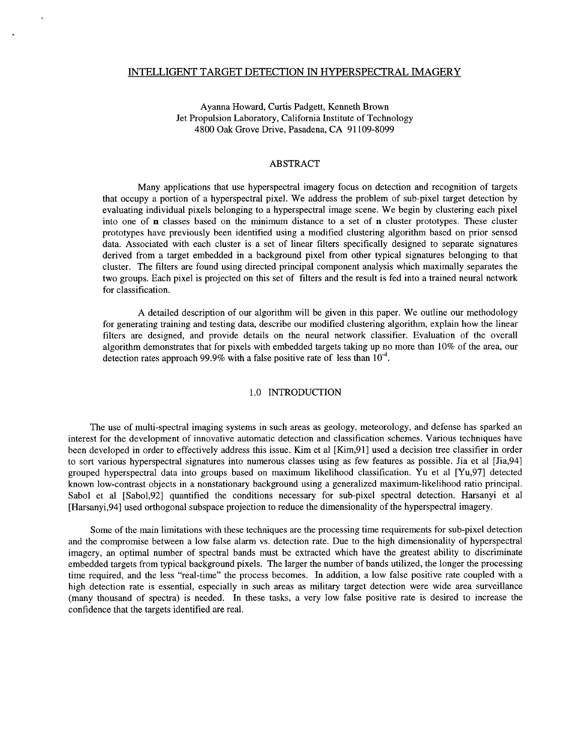### INTELLIGENT TARGET DETECTION IN HYPERSPECTRAL IMAGERY

Ayanna Howard, Curtis Padgett, Kenneth Brown Jet Propulsion Laboratory, California Institute of Technology 4800 *Oak* Grove Drive, Pasadena, CA 91 109-8099

## ABSTRACT

Many applications that use hyperspectral imagery focus on detection and recognition of targets that occupy a portion of a hyperspectral pixel. We address the problem of sub-pixel target detection by evaluating individual pixels belonging to a hyperspectral image scene. We begin by clustering each pixel into one of **n** classes based on the minimum distance to a set of **n** cluster prototypes. These cluster prototypes have previously been identified using a modified clustering algorithm based on prior sensed data. Associated with each cluster is a set of linear filters specifically designed to separate signatures derived from a target embedded in a background pixel from other typical signatures belonging to that cluster. The filters are found using directed principal component analysis which maximally separates the two groups. Each pixel is projected on this set of filters and the result is fed into a trained neural network for classification.

A detailed description of our algorithm will be given in this paper. We outline our methodology for generating training and testing data, describe our modified clustering algorithm, explain how the linear filters are designed, and provide details on the neural network classifier. Evaluation of the overall algorithm demonstrates that for pixels with embedded targets taking up no more than 10% of the area, our detection rates approach 99.9% with a false positive rate of less than  $10^{-4}$ .

## 1.0 INTRODUCTION

The use of multi-spectral imaging systems in such areas as geology, meteorology, and defense has sparked an interest for the development of innovative automatic detection and classification schemes. Various techniques have been developed in order to effectively address this issue. Kim et a1 [Kim,91] used **a** decision tree classifier in order to sort various hyperspectral signatures into numerous classes using as few features as possible. Jia et a1 [Jia,94] grouped hyperspectral data into groups based on maximum likelihood classification. Yu et a1 [Yu,97] detected known low-contrast objects in a nonstationary background using a generalized maximum-likelihood ratio principal. Sabol et al [Sabol,92] quantified the conditions necessary for sub-pixel spectral detection. Harsanyi et al [Harsanyi,94] used orthogonal subspace projection to reduce the dimensionality of the hyperspectral imagery.

Some of the main limitations with these techniques are the processing time requirements for sub-pixel detection and the compromise between a low false alarm vs. detection rate. Due to the high dimensionality of hyperspectral imagery, an optimal number of spectral bands must be extracted which have the greatest ability to discriminate embedded targets from typical background pixels. The larger the number of bands utilized, the longer the processing time required, and the less "real-time" the process becomes. In addition, a low false positive rate coupled with a high detection rate is essential, especially in such areas as military target detection were wide area surveillance (many thousand of spectra) is needed. In these tasks, a very low false positive rate is desired to increase the confidence that the targets identified are real.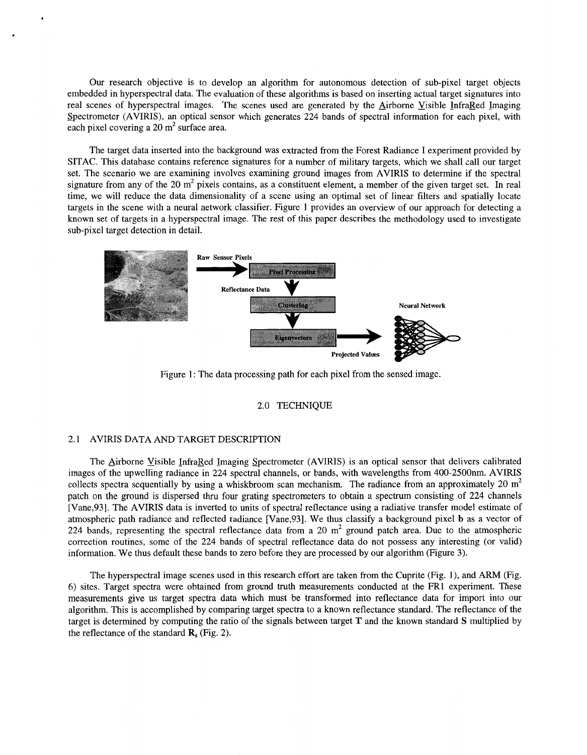Our research objective is to develop an algorithm for autonomous detection of sub-pixel target objects embedded in hyperspectral data. The evaluation of these algorithms is based on inserting actual target signatures into real scenes of hyperspectral images. The scenes used are generated by the Airborne Visible InfraRed Imaging Spectrometer (AVIRIS), an optical sensor which generates 224 bands of spectral information for each pixel, with each pixel covering a  $20 \text{ m}^2$  surface area.

The target data inserted into the background was extracted from the Forest Radiance I experiment provided by SITAC. This database contains reference signatures for a number of military targets, which we shall call our target set. The scenario we are examining involves examining ground images from AVIRIS to determine if the spectral signature from any of the 20  $m<sup>2</sup>$  pixels contains, as a constituent element, a member of the given target set. In real time, we will reduce the data dimensionality of a scene using an optimal set of linear filters and spatially locate targets in the scene with a neural network classifier. Figure **1** provides an overview of our approach for detecting **a**  known set of targets in a hyperspectral image. The rest of this paper describes the methodology used to investigate sub-pixel target detection in detail.



Figure 1: The data processing path for each pixel from the sensed image.

#### 2.0 TECHNIQUE

### 2.1 AVIRIS DATA AND TARGET DESCRIPTION

The Airborne Visible InfraRed Imaging Spectrometer (AVIRIS) is an optical sensor that delivers calibrated images of the upwelling radiance in 224 spectral channels, or bands, with wavelengths from 400-2500nm. AVIRIS collects spectra sequentially by using a whiskbroom scan mechanism. The radiance from an approximately 20  $m<sup>2</sup>$ patch on the ground is dispersed thru four grating spectrometers to obtain a spectrum consisting of 224 channels [Vane,93]. The AVIRIS data is inverted to units of spectral reflectance using a radiative transfer model estimate of atmospheric path radiance and reflected radiance [Vane,93]. We thus classify a background pixel **b** as a vector of 224 bands, representing the spectral reflectance data from a 20  $m<sup>2</sup>$  ground patch area. Due to the atmospheric correction routines, some of the 224 bands of spectral reflectance data do not possess any interesting (or valid) information. We thus default these bands to zero before they are processed by our algorithm (Figure 3).

The hyperspectral image scenes used in this research effort are taken from the Cuprite (Fig. l), and ARM (Fig. 6) sites. Target spectra were obtained from ground truth measurements conducted at the FR1 experiment. These measurements give us target spectra data which must be transformed into reflectance data for import into our algorithm. This is accomplished by comparing target spectra to a known reflectance standard. The reflectance of the target is determined by computing the ratio of the signals between target **T** and the known standard **S** multiplied by the reflectance of the standard  $\mathbf{R}_s$  (Fig. 2).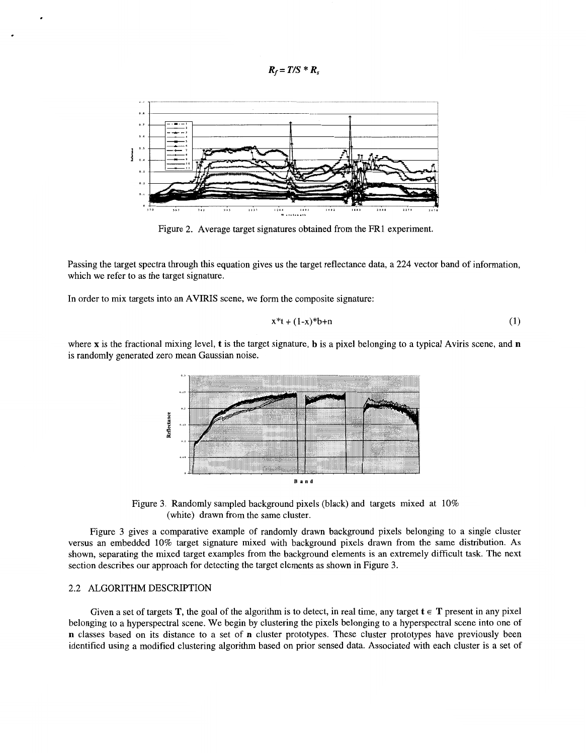$R_f = T/S * R_s$ 



Figure *2.* Average target signatures obtained from the FR1 experiment.

Passing the target spectra through this equation gives us the target reflectance data, a 224 vector band of information, which we refer to as the target signature.

In order to mix targets into an AVIRIS scene, we form the composite signature:

$$
x^*t + (1-x)^*b + n \tag{1}
$$

where **x** is the fractional mixing level, **t** is the target signature, **b** is a pixel belonging to a typical Aviris scene, and **n**  is randomly generated zero mean Gaussian noise.



Figure 3. Randomly sampled background pixels (black) and targets mixed at 10% (white) drawn from the same cluster.

Figure 3 gives a comparative example of randomly drawn background pixels belonging to a single cluster versus an embedded 10% target signature mixed with background pixels drawn from the same distribution. As shown, separating the mixed target examples from the background elements is an extremely difficult task. The next section describes our approach for detecting the target elements as shown in Figure 3.

# 2.2 ALGORITHM DESCRIPTION

Given a set of targets **T**, the goal of the algorithm is to detect, in real time, any target  $\mathbf{t} \in \mathbf{T}$  present in any pixel belonging to a hyperspectral scene. We begin by clustering the pixels belonging to a hyperspectral scene into one of **n** classes based on its distance to a set of **n** cluster prototypes. These cluster prototypes have previously been identified using a modified clustering algorithm based on prior sensed data. Associated with each cluster is a set of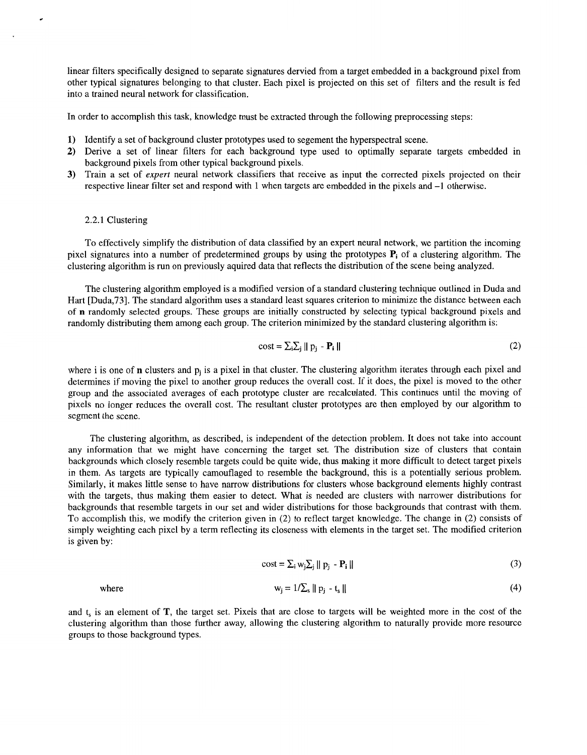linear filters specifically designed to separate signatures dervied from a target embedded in a background pixel from other typical signatures belonging to that cluster. Each pixel is projected on this set of filters and the result is fed into a trained neural network for classification.

In order to accomplish this task, knowledge must be extracted through the following preprocessing steps:

- **1)** Identify a set of background cluster prototypes used to segement the hyperspectral scene.
- **2)** Derive a set of linear filters for each background type used to optimally separate targets embedded in background pixels from other typical background pixels.
- **3)** Train a set of *expert* neural network classifiers that receive as input the corrected pixels projected on their respective linear filter set and respond with 1 when targets are embedded in the pixels and -1 otherwise.

# 2.2.1 Clustering

To effectively simplify the distribution of data classified by an expert neural network, we partition the incoming pixel signatures into a number of predetermined groups by using the prototypes **Pi** of a clustering algorithm. The clustering algorithm is run on previously aquired data that reflects the distribution of the scene being analyzed.

The clustering algorithm employed is a modified version of a standard clustering technique outlined in Duda and Hart [Duda,73]. The standard algorithm uses a standard least squares criterion to minimize the distance between each of **n** randomly selected groups. These groups are initially constructed by selecting typical background pixels and randomly distributing them among each group. The criterion minimized by the standard clustering algorithm is:

$$
\text{cost} = \sum_{i} \sum_{j} ||\mathbf{p}_{j} - \mathbf{P}_{i}|| \tag{2}
$$

where i is one of **n** clusters and  $p_i$  is a pixel in that cluster. The clustering algorithm iterates through each pixel and determines if moving the pixel to another group reduces the overall cost. If it does, the pixel is moved to the other group and the associated averages of each prototype cluster are recalculated. This continues until the moving of pixels no longer reduces the overall cost. The resultant cluster prototypes are then employed by our algorithm to segment the scene.

The clustering algorithm, as described, is independent of the detection problem. It does not take into account any information that we might have concerning the target set. The distribution size of clusters that contain backgrounds which closely resemble targets could be quite wide, thus making it more difficult to detect target pixels in them. **As** targets are typically camouflaged to resemble the background, this is a potentially serious problem. Similarly, it makes little sense to have narrow distributions for clusters whose background elements highly contrast with the targets, thus making them easier to detect. What is needed are clusters with narrower distributions for backgrounds that resemble targets in our set and wider distributions for those backgrounds that contrast with them. To accomplish this, we modify the criterion given in (2) to reflect target knowledge. The change in (2) consists of simply weighting each pixel by a term reflecting its closeness with elements in the target set. The modified criterion is given by:

$$
\text{cost} = \sum_{i} w_i \sum_{i} ||p_i - P_i|| \tag{3}
$$

where

$$
w_j = 1/\sum_s \|p_j - t_s\| \tag{4}
$$

and t, is an element of **T,** the target set. Pixels that are close to targets will be weighted more in the cost of the clustering algorithm than those further away, allowing the clustering algorithm to naturally provide more resource groups to those background types.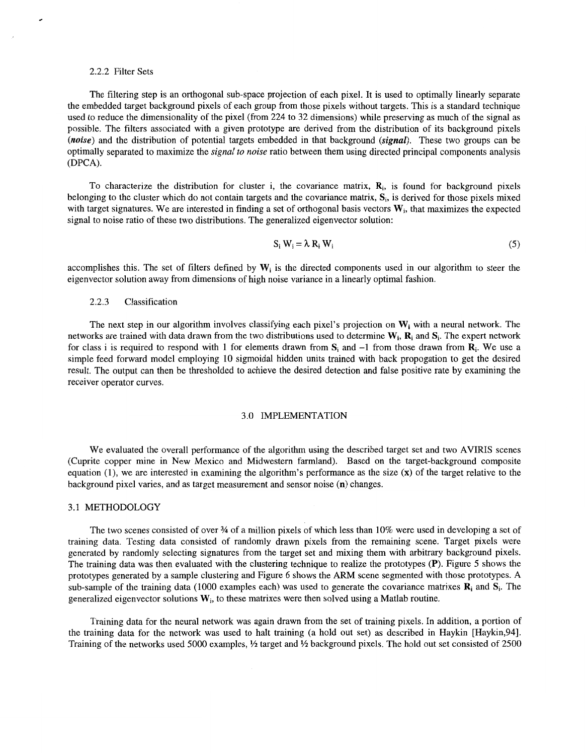#### 2.2.2 Filter Sets

The filtering step is an orthogonal sub-space projection of each pixel. It is used to optimally linearly separate the embedded target background pixels of each group from those pixels without targets. This is a standard technique used to reduce the dimensionality of the pixel (from 224 to 32 dimensions) while preserving as much of the signal as possible. The filters associated with a given prototype are derived from the distribution of its background pixels *(noise)* and the distribution of potential targets embedded in that background *(signal).* These two groups can be optimally separated to maximize the *signal to noise* ratio between them using directed principal components analysis (DPCA).

To characterize the distribution for cluster i, the covariance matrix, **Ri,** is found for background pixels belonging to the cluster which do not contain targets and the covariance matrix, **Si,** is derived for those pixels mixed with target signatures. We are interested in finding a set of orthogonal basis vectors **Wi,** that maximizes the expected signal to noise ratio of these two distributions. The generalized eigenvector solution:

$$
S_i W_i = \lambda R_i W_i \tag{5}
$$

accomplishes this. The set of filters defined by  $W_i$  is the directed components used in our algorithm to steer the eigenvector solution away from dimensions of high noise variance in a linearly optimal fashion.

### 2.2.3 Classification

The next step in our algorithm involves classifying each pixel's projection on **Wi** with a neural network. The networks are trained with data drawn from the two distributions used to determine **Wi,** Ri and **Si.** The expert network for class i is required to respond with 1 for elements drawn from  $S_i$  and  $-1$  from those drawn from  $R_i$ . We use a simple feed forward model employing 10 sigmoidal hidden units trained with back propogation to get the desired result. The output can then be thresholded to achieve the desired detection and false positive rate by examining the receiver operator curves.

### **3** .O IMPLEMENTATION

We evaluated the overall performance of the algorithm using the described target set and two AVIRIS scenes (Cuprite copper mine in New Mexico and Midwestern farmland). Based on the target-background composite equation (I), we are interested in examining the algorithm's performance as the size **(x)** of the target relative to the background pixel varies, and as target measurement and sensor noise **(n)** changes.

# 3.1 METHODOLOGY

The two scenes consisted of over % of a million pixels of which less than 10% were used in developing a set of training data. Testing data consisted of randomly drawn pixels from the remaining scene. Target pixels were generated by randomly selecting signatures from the target set and mixing them with arbitrary background pixels. The training data was then evaluated with the clustering technique to realize the prototypes **(P).** [Figure 5](#page-5-0) shows the prototypes generated by a sample clustering and [Figure 6](#page-5-0) shows the ARM scene segmented with those prototypes. A sub-sample of the training data (1000 examples each) was used to generate the covariance matrixes  $\mathbf{R}_i$  and  $\mathbf{S}_i$ . The generalized eigenvector solutions **Wi,** to these matrixes were then solved using a Matlab routine.

Training data for the neural network was again drawn from the set of training pixels. In addition, a portion of the training data for the network was used to halt training (a hold out set) as described in Haykin [Haykin,94]. Training of the networks used 5000 examples,  $\frac{1}{2}$  target and  $\frac{1}{2}$  background pixels. The hold out set consisted of 2500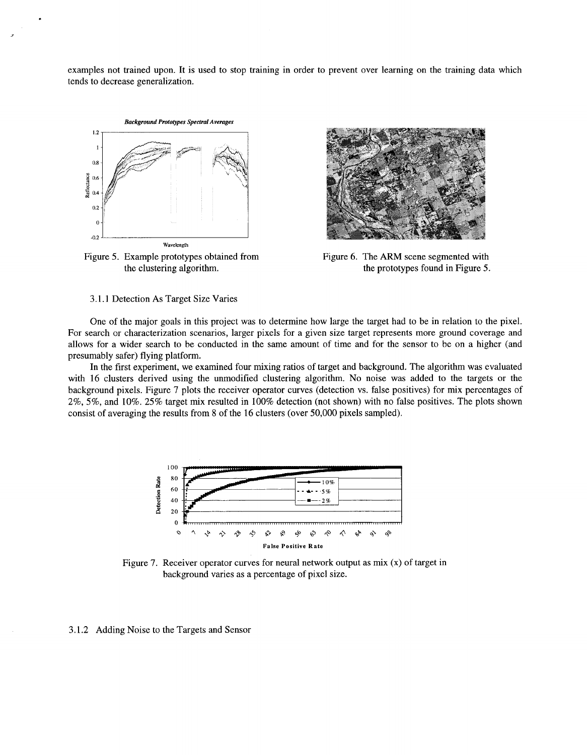<span id="page-5-0"></span>examples not trained upon. It is used to stop training in order to prevent over learning on the training data which tends to decrease generalization.



Figure 5. Example prototypes obtained from the clustering algorithm.



Figure 6. The ARM scene segmented with the prototypes found in Figure 5.

3.1.1 Detection As Target Size Varies

One of the major goals in this project was to determine how large the target had to be in relation to the pixel. For search or characterization scenarios, larger pixels for a given size target represents more ground coverage and allows for a wider search to be conducted in the same amount of time and for the sensor to be on a higher (and presumably safer) flying platform.

In the first experiment, we examined four mixing ratios of target and background. The algorithm was evaluated with 16 clusters derived using the unmodified clustering algorithm. No noise was added to the targets or the background pixels. Figure 7 plots the receiver operator curves (detection vs. false positives) for mix percentages of 2%, 5%, and 10%. 25% target mix resulted in 100% detection (not shown) with no false positives. The plots shown consist of averaging the results from 8 of the 16 clusters (over 50,000 pixels sampled).



Figure 7. Receiver operator curves for neural network output as mix (x) of target in background varies as a percentage of pixel size.

3.1.2 Adding Noise to the Targets and Sensor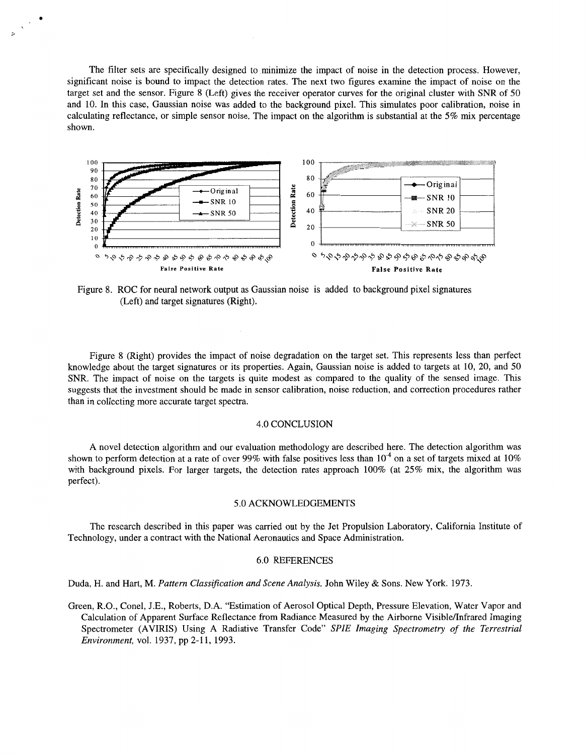The filter sets are specifically designed to.minimize the impact of noise in the detection process. However, significant noise is bound to impact the detection rates. The next two figures examine the impact of noise on the target set and the sensor. Figure 8 (Left) gives the receiver operator curves for the original cluster with SNR of 50 and 10. In this case, Gaussian noise was added to the background pixel. This simulates poor calibration, noise in calculating reflectance, or simple sensor noise. The impact on the algorithm is substantial at the 5% mix percentage shown.

**i** 



Figure **8.** ROC for neural network output as Gaussian noise is added to background pixel signatures (Left) and target signatures (Right).

Figure 8 (Right) provides the impact of noise degradation on the target set. This represents less than perfect knowledge about the target signatures or its properties. Again, Gaussian noise is added to targets at 10, 20, and 50 SNR. The impact of noise on the targets is quite modest as compared to the quality of the sensed image. This suggests that the investment should be made in sensor calibration, noise reduction, and correction procedures rather than in collecting more accurate target spectra.

#### **4.0** CONCLUSION

A novel detection algorithm and our evaluation methodology are described here. The detection algorithm was shown to perform detection at a rate of over 99% with false positives less than  $10<sup>4</sup>$  on a set of targets mixed at 10% with background pixels. For larger targets, the detection rates approach 100% (at 25% mix, the algorithm was perfect).

### 5.0 ACKNOWLEDGEMENTS

The research described in this paper was carried out by the Jet Propulsion Laboratory, California Institute of Technology, under a contract with the National Aeronautics and Space Administration.

### 6.0 REFERENCES

Duda, H. and Hart, M. *Pattern Classijication and Scene Analysis.* John Wiley & Sons. New York. 1973.

Green, R.O., Conel, J.E., Roberts, D.A. "Estimation of Aerosol Optical Depth, Pressure Elevation, Water Vapor and Calculation of Apparent Surface Reflectance from Radiance Measured by the Airborne Visible/Infrared Imaging Spectrometer (AVIRIS) Using A Radiative Transfer Code" *SPZE Imaging Spectrometry of the Terrestrial Environment,* vol. 1937, pp 2-11, 1993.